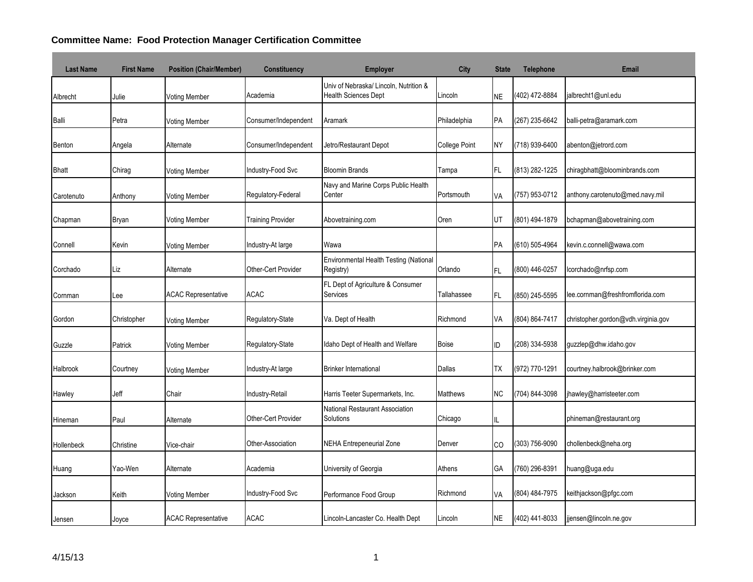## **Committee Name: Food Protection Manager Certification Committee**

| <b>Last Name</b> | <b>First Name</b> | <b>Position (Chair/Member)</b> | <b>Constituency</b>      | <b>Employer</b>                                                       | City                 | <b>State</b> | <b>Telephone</b> | <b>Email</b>                        |
|------------------|-------------------|--------------------------------|--------------------------|-----------------------------------------------------------------------|----------------------|--------------|------------------|-------------------------------------|
| Albrecht         | Julie             | <b>Voting Member</b>           | Academia                 | Univ of Nebraska/ Lincoln, Nutrition &<br><b>Health Sciences Dept</b> | Lincoln              | NE           | (402) 472-8884   | jalbrecht1@unl.edu                  |
| Balli            | Petra             | <b>Voting Member</b>           | Consumer/Independent     | Aramark                                                               | Philadelphia         | PA           | (267) 235-6642   | balli-petra@aramark.com             |
| Benton           | Angela            | Alternate                      | Consumer/Independent     | Jetro/Restaurant Depot                                                | <b>College Point</b> | <b>NY</b>    | (718) 939-6400   | abenton@jetrord.com                 |
| <b>Bhatt</b>     | Chirag            | Voting Member                  | Industry-Food Svc        | <b>Bloomin Brands</b>                                                 | Tampa                | FL.          | (813) 282-1225   | chiragbhatt@bloominbrands.com       |
| Carotenuto       | Anthony           | Voting Member                  | Regulatory-Federal       | Navy and Marine Corps Public Health<br>Center                         | Portsmouth           | VA           | (757) 953-0712   | anthony.carotenuto@med.navy.mil     |
| Chapman          | <b>Bryan</b>      | <b>Voting Member</b>           | <b>Training Provider</b> | Abovetraining.com                                                     | Oren                 | UT           | (801) 494-1879   | bchapman@abovetraining.com          |
| Connell          | Kevin             | <b>Voting Member</b>           | Industry-At large        | Wawa                                                                  |                      | PA           | (610) 505-4964   | kevin.c.connell@wawa.com            |
| Corchado         | Liz               | Alternate                      | Other-Cert Provider      | Environmental Health Testing (National<br>Registry)                   | Orlando              | FL.          | (800) 446-0257   | lcorchado@nrfsp.com                 |
| Cornman          | ee.               | <b>ACAC Representative</b>     | <b>ACAC</b>              | FL Dept of Agriculture & Consumer<br>Services                         | Tallahassee          | FL.          | (850) 245-5595   | lee.cornman@freshfromflorida.com    |
| Gordon           | Christopher       | <b>Voting Member</b>           | Regulatory-State         | Va. Dept of Health                                                    | Richmond             | VA           | (804) 864-7417   | christopher.gordon@vdh.virginia.gov |
| Guzzle           | Patrick           | Voting Member                  | Regulatory-State         | Idaho Dept of Health and Welfare                                      | Boise                | ID           | (208) 334-5938   | guzzlep@dhw.idaho.gov               |
| Halbrook         | Courtney          | <b>Voting Member</b>           | Industry-At large        | <b>Brinker International</b>                                          | <b>Dallas</b>        | TX           | (972) 770-1291   | courtney.halbrook@brinker.com       |
| Hawley           | Jeff              | Chair                          | Industry-Retail          | Harris Teeter Supermarkets, Inc.                                      | <b>Matthews</b>      | NC.          | (704) 844-3098   | jhawley@harristeeter.com            |
| Hineman          | Paul              | Alternate                      | Other-Cert Provider      | National Restaurant Association<br>Solutions                          | Chicago              | IL           |                  | phineman@restaurant.org             |
| Hollenbeck       | Christine         | Vice-chair                     | Other-Association        | <b>NEHA Entrepeneurial Zone</b>                                       | Denver               | CO           | (303) 756-9090   | chollenbeck@neha.org                |
| Huang            | Yao-Wen           | Alternate                      | Academia                 | University of Georgia                                                 | Athens               | GА           | (760) 296-8391   | huang@uga.edu                       |
| Jackson          | Keith             | <b>Voting Member</b>           | Industry-Food Svc        | Performance Food Group                                                | Richmond             | VA           | (804) 484-7975   | keithjackson@pfgc.com               |
| Jensen           | Joyce             | <b>ACAC Representative</b>     | <b>ACAC</b>              | Lincoln-Lancaster Co. Health Dept                                     | Lincoln              | NE           | (402) 441-8033   | jjensen@lincoln.ne.gov              |

and the state of the state of the state of the state of the

**Contract Contract**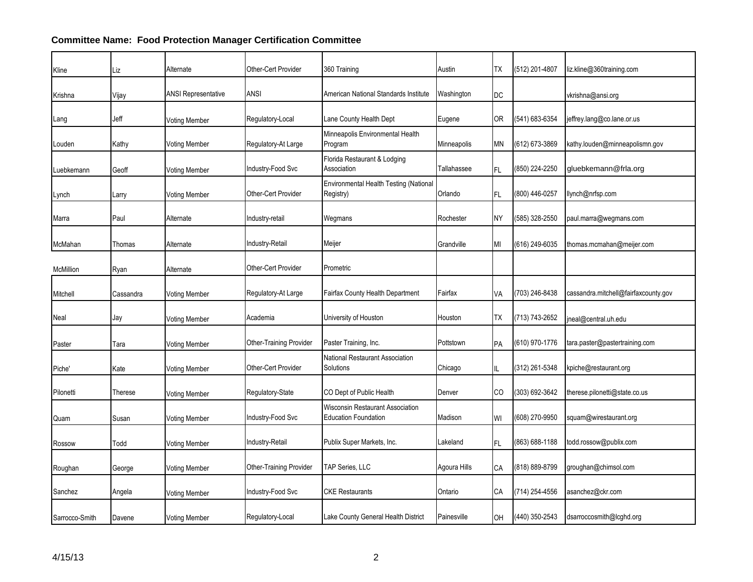## **Committee Name: Food Protection Manager Certification Committee**

| Kline          | Liz       | Alternate                  | Other-Cert Provider            | 360 Training                                                    | Austin       | ТX  | (512) 201-4807 | liz.kline@360training.com            |
|----------------|-----------|----------------------------|--------------------------------|-----------------------------------------------------------------|--------------|-----|----------------|--------------------------------------|
| Krishna        | Vijay     | <b>ANSI Representative</b> | ANSI                           | American National Standards Institute                           | Washington   | DC  |                | vkrishna@ansi.org                    |
| Lang           | Jeff      | Voting Member              | Regulatory-Local               | Lane County Health Dept                                         | Eugene       | OR  | (541) 683-6354 | jeffrey.lang@co.lane.or.us           |
| Louden         | Kathy     | Voting Member              | Regulatory-At Large            | Minneapolis Environmental Health<br>Program                     | Minneapolis  | ΜN  | (612) 673-3869 | kathy.louden@minneapolismn.gov       |
| -uebkemann     | Geoff     | Voting Member              | Industry-Food Svc              | Florida Restaurant & Lodging<br>Association                     | Tallahassee  | FL. | (850) 224-2250 | gluebkemann@frla.org                 |
| Lynch          | Larry     | Voting Member              | Other-Cert Provider            | Environmental Health Testing (National<br>Registry)             | Orlando      | FL. | (800) 446-0257 | llynch@nrfsp.com                     |
| Marra          | Paul      | Alternate                  | Industry-retail                | Wegmans                                                         | Rochester    | NΥ  | (585) 328-2550 | paul.marra@wegmans.com               |
| McMahan        | Thomas    | Alternate                  | Industry-Retail                | Meijer                                                          | Grandville   | MI  | (616) 249-6035 | thomas.mcmahan@meijer.com            |
| McMillion      | Ryan      | Alternate                  | Other-Cert Provider            | Prometric                                                       |              |     |                |                                      |
| Mitchell       | Cassandra | Voting Member              | Regulatory-At Large            | <b>Fairfax County Health Department</b>                         | Fairfax      | VA  | (703) 246-8438 | cassandra.mitchell@fairfaxcounty.gov |
| Neal           | Jay       | Voting Member              | Academia                       | University of Houston                                           | Houston      | ТX  | (713) 743-2652 | jneal@central.uh.edu                 |
| Paster         | Tara      | Voting Member              | Other-Training Provider        | Paster Training, Inc.                                           | Pottstown    | PA  | (610) 970-1776 | tara.paster@pastertraining.com       |
| Piche'         | Kate      | Voting Member              | Other-Cert Provider            | National Restaurant Association<br>Solutions                    | Chicago      | IL. | (312) 261-5348 | kpiche@restaurant.org                |
| Pilonetti      | Therese   | Voting Member              | Regulatory-State               | CO Dept of Public Health                                        | Denver       | CO  | (303) 692-3642 | therese.pilonetti@state.co.us        |
| Quam           | Susan     | Voting Member              | Industry-Food Svc              | Wisconsin Restaurant Association<br><b>Education Foundation</b> | Madison      | WI  | (608) 270-9950 | squam@wirestaurant.org               |
| Rossow         | Todd      | Voting Member              | Industry-Retail                | Publix Super Markets, Inc.                                      | Lakeland     | FL. | (863) 688-1188 | todd.rossow@publix.com               |
| Roughan        | George    | Voting Member              | <b>Other-Training Provider</b> | TAP Series, LLC                                                 | Agoura Hills | СA  | (818) 889-8799 | groughan@chimsol.com                 |
| Sanchez        | Angela    | Voting Member              | Industry-Food Svc              | <b>CKE Restaurants</b>                                          | Ontario      | СA  | (714) 254-4556 | asanchez@ckr.com                     |
| Sarrocco-Smith | Davene    | Voting Member              | Regulatory-Local               | Lake County General Health District                             | Painesville  | OH  | (440) 350-2543 | dsarroccosmith@lcghd.org             |